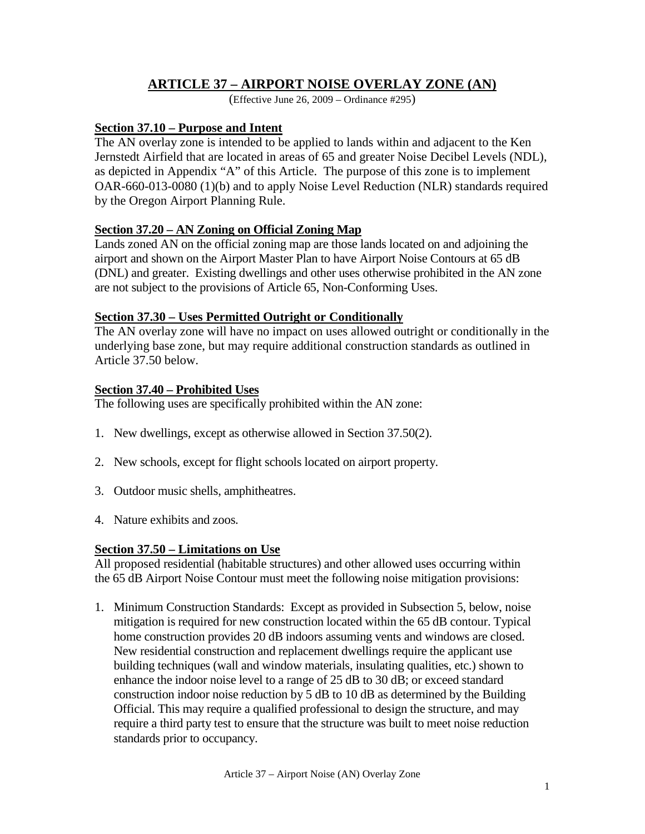# **ARTICLE 37 – AIRPORT NOISE OVERLAY ZONE (AN)**

(Effective June 26, 2009 – Ordinance #295)

## **Section 37.10 – Purpose and Intent**

The AN overlay zone is intended to be applied to lands within and adjacent to the Ken Jernstedt Airfield that are located in areas of 65 and greater Noise Decibel Levels (NDL), as depicted in Appendix "A" of this Article. The purpose of this zone is to implement OAR-660-013-0080 (1)(b) and to apply Noise Level Reduction (NLR) standards required by the Oregon Airport Planning Rule.

## **Section 37.20 – AN Zoning on Official Zoning Map**

Lands zoned AN on the official zoning map are those lands located on and adjoining the airport and shown on the Airport Master Plan to have Airport Noise Contours at 65 dB (DNL) and greater. Existing dwellings and other uses otherwise prohibited in the AN zone are not subject to the provisions of Article 65, Non-Conforming Uses.

## **Section 37.30 – Uses Permitted Outright or Conditionally**

The AN overlay zone will have no impact on uses allowed outright or conditionally in the underlying base zone, but may require additional construction standards as outlined in Article 37.50 below.

## **Section 37.40 – Prohibited Uses**

The following uses are specifically prohibited within the AN zone:

- 1. New dwellings, except as otherwise allowed in Section 37.50(2).
- 2. New schools, except for flight schools located on airport property.
- 3. Outdoor music shells, amphitheatres.
- 4. Nature exhibits and zoos.

# **Section 37.50 – Limitations on Use**

All proposed residential (habitable structures) and other allowed uses occurring within the 65 dB Airport Noise Contour must meet the following noise mitigation provisions:

1. Minimum Construction Standards: Except as provided in Subsection 5, below, noise mitigation is required for new construction located within the 65 dB contour. Typical home construction provides 20 dB indoors assuming vents and windows are closed. New residential construction and replacement dwellings require the applicant use building techniques (wall and window materials, insulating qualities, etc.) shown to enhance the indoor noise level to a range of 25 dB to 30 dB; or exceed standard construction indoor noise reduction by 5 dB to 10 dB as determined by the Building Official. This may require a qualified professional to design the structure, and may require a third party test to ensure that the structure was built to meet noise reduction standards prior to occupancy.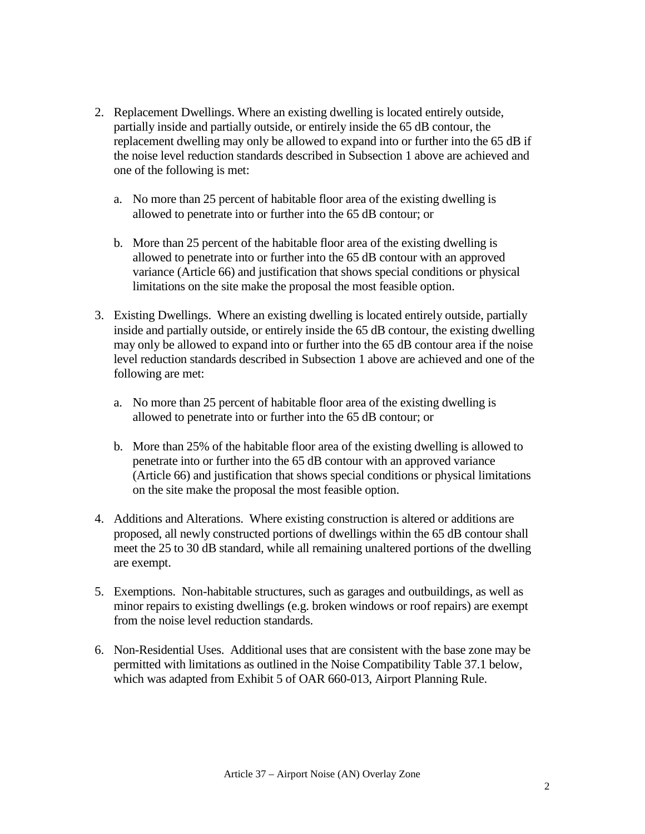- 2. Replacement Dwellings. Where an existing dwelling is located entirely outside, partially inside and partially outside, or entirely inside the 65 dB contour, the replacement dwelling may only be allowed to expand into or further into the 65 dB if the noise level reduction standards described in Subsection 1 above are achieved and one of the following is met:
	- a. No more than 25 percent of habitable floor area of the existing dwelling is allowed to penetrate into or further into the 65 dB contour; or
	- b. More than 25 percent of the habitable floor area of the existing dwelling is allowed to penetrate into or further into the 65 dB contour with an approved variance (Article 66) and justification that shows special conditions or physical limitations on the site make the proposal the most feasible option.
- 3. Existing Dwellings. Where an existing dwelling is located entirely outside, partially inside and partially outside, or entirely inside the 65 dB contour, the existing dwelling may only be allowed to expand into or further into the 65 dB contour area if the noise level reduction standards described in Subsection 1 above are achieved and one of the following are met:
	- a. No more than 25 percent of habitable floor area of the existing dwelling is allowed to penetrate into or further into the 65 dB contour; or
	- b. More than 25% of the habitable floor area of the existing dwelling is allowed to penetrate into or further into the 65 dB contour with an approved variance (Article 66) and justification that shows special conditions or physical limitations on the site make the proposal the most feasible option.
- 4. Additions and Alterations. Where existing construction is altered or additions are proposed, all newly constructed portions of dwellings within the 65 dB contour shall meet the 25 to 30 dB standard, while all remaining unaltered portions of the dwelling are exempt.
- 5. Exemptions. Non-habitable structures, such as garages and outbuildings, as well as minor repairs to existing dwellings (e.g. broken windows or roof repairs) are exempt from the noise level reduction standards.
- 6. Non-Residential Uses. Additional uses that are consistent with the base zone may be permitted with limitations as outlined in the Noise Compatibility Table 37.1 below, which was adapted from Exhibit 5 of OAR 660-013, Airport Planning Rule.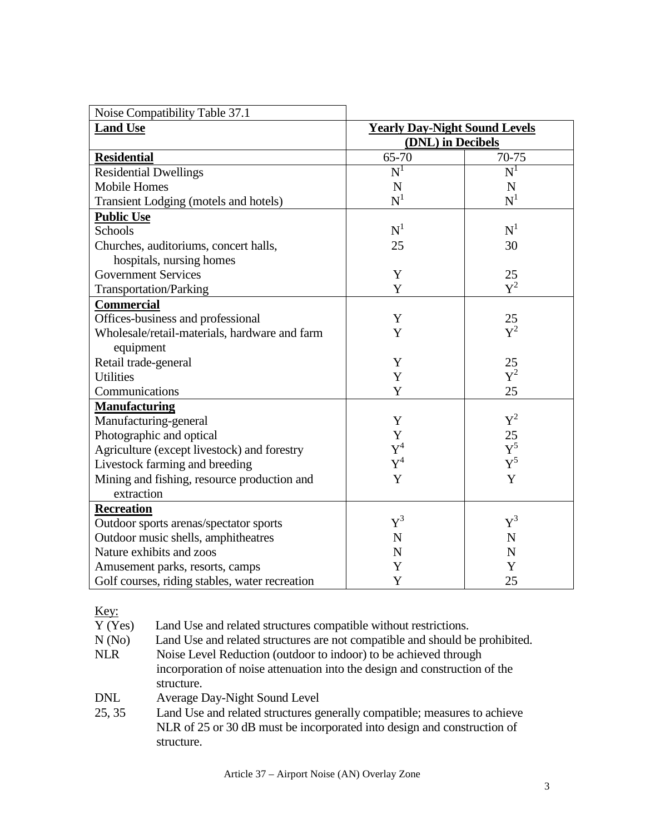| Noise Compatibility Table 37.1                 |                                      |                |
|------------------------------------------------|--------------------------------------|----------------|
| <b>Land Use</b>                                | <b>Yearly Day-Night Sound Levels</b> |                |
|                                                | (DNL) in Decibels                    |                |
| <b>Residential</b>                             | 65-70                                | 70-75          |
| <b>Residential Dwellings</b>                   | $\overline{\text{N}}^1$              | $N^1$          |
| Mobile Homes                                   | $\mathbf N$                          | N              |
| Transient Lodging (motels and hotels)          | $N^1$                                | $N^1$          |
| <b>Public Use</b>                              |                                      |                |
| Schools                                        | $N^1$                                | $\mathrm{N}^1$ |
| Churches, auditoriums, concert halls,          | 25                                   | 30             |
| hospitals, nursing homes                       |                                      |                |
| <b>Government Services</b>                     | Y                                    | 25             |
| <b>Transportation/Parking</b>                  | Y                                    | $Y^2$          |
| <b>Commercial</b>                              |                                      |                |
| Offices-business and professional              | Y                                    | 25             |
| Wholesale/retail-materials, hardware and farm  | Y                                    | $\mathbf{Y}^2$ |
| equipment                                      |                                      |                |
| Retail trade-general                           | Y                                    | 25             |
| <b>Utilities</b>                               | Y                                    | $Y^2$          |
| Communications                                 | Y                                    | 25             |
| <b>Manufacturing</b>                           |                                      |                |
| Manufacturing-general                          | Y                                    | $\text{Y}^2$   |
| Photographic and optical                       | Y                                    | 25             |
| Agriculture (except livestock) and forestry    | $Y^4$                                | ${\rm Y}^5$    |
| Livestock farming and breeding                 | $Y^4$                                | ${\rm Y}^5$    |
| Mining and fishing, resource production and    | Y                                    | Y              |
| extraction                                     |                                      |                |
| <b>Recreation</b>                              |                                      |                |
| Outdoor sports arenas/spectator sports         | $Y^3$                                | ${\rm Y}^3$    |
| Outdoor music shells, amphitheatres            | $\mathbf N$                          | $\mathbf N$    |
| Nature exhibits and zoos                       | $\mathbf N$                          | $\mathbf N$    |
| Amusement parks, resorts, camps                | Y                                    | Y              |
| Golf courses, riding stables, water recreation | Y                                    | 25             |

## Key:

Y (Yes) Land Use and related structures compatible without restrictions.<br>N (No) Land Use and related structures are not compatible and should be

Land Use and related structures are not compatible and should be prohibited.

- NLR Noise Level Reduction (outdoor to indoor) to be achieved through incorporation of noise attenuation into the design and construction of the structure.
- DNL Average Day-Night Sound Level
- 25, 35 Land Use and related structures generally compatible; measures to achieve NLR of 25 or 30 dB must be incorporated into design and construction of structure.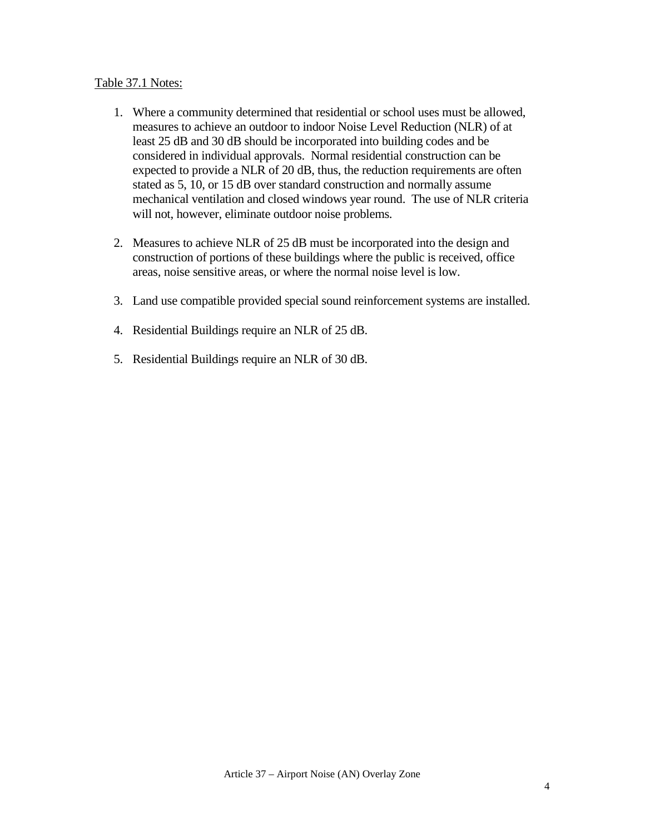#### Table 37.1 Notes:

- 1. Where a community determined that residential or school uses must be allowed, measures to achieve an outdoor to indoor Noise Level Reduction (NLR) of at least 25 dB and 30 dB should be incorporated into building codes and be considered in individual approvals. Normal residential construction can be expected to provide a NLR of 20 dB, thus, the reduction requirements are often stated as 5, 10, or 15 dB over standard construction and normally assume mechanical ventilation and closed windows year round. The use of NLR criteria will not, however, eliminate outdoor noise problems.
- 2. Measures to achieve NLR of 25 dB must be incorporated into the design and construction of portions of these buildings where the public is received, office areas, noise sensitive areas, or where the normal noise level is low.
- 3. Land use compatible provided special sound reinforcement systems are installed.
- 4. Residential Buildings require an NLR of 25 dB.
- 5. Residential Buildings require an NLR of 30 dB.